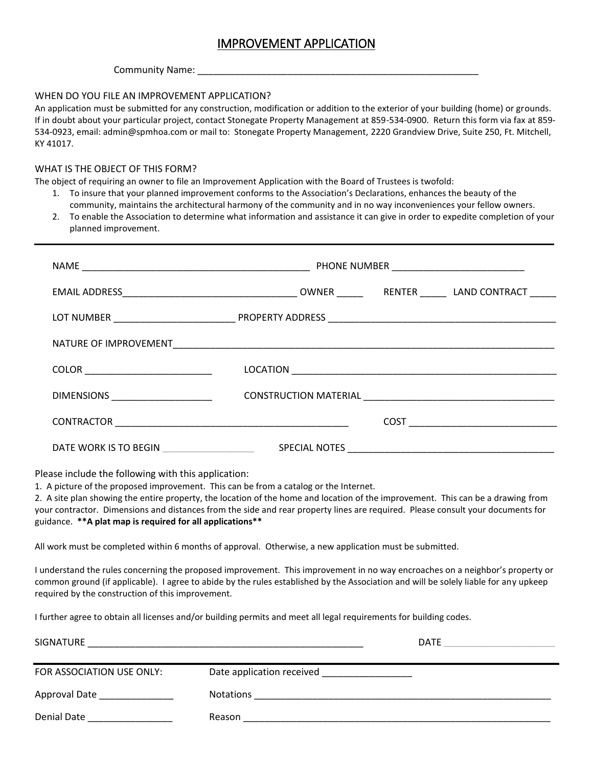# IMPROVEMENT APPLICATION

#### Community Name:

### WHEN DO YOU FILE AN IMPROVEMENT APPLICATION?

An application must be submitted for any construction, modification or addition to the exterior of your building (home) or grounds. If in doubt about your particular project, contact Stonegate Property Management at 859-534-0900. Return this form via fax at 859- 534-0923, email: admin@spmhoa.com or mail to: Stonegate Property Management, 2220 Grandview Drive, Suite 250, Ft. Mitchell, KY 41017.

#### WHAT IS THE OBJECT OF THIS FORM?

The object of requiring an owner to file an Improvement Application with the Board of Trustees is twofold:

- 1. To insure that your planned improvement conforms to the Association's Declarations, enhances the beauty of the community, maintains the architectural harmony of the community and in no way inconveniences your fellow owners.
- 2. To enable the Association to determine what information and assistance it can give in order to expedite completion of your planned improvement.

| DIMENSIONS POSTAGE AND THE RESERVE THE RESERVE THAT AND RESERVE THE RESERVE THAT AND RESERVE THE RESERVE THAT A STRUCK AND THE RESERVE THAT A STRUCK AND THE RESERVE THAT A STRUCK AND THE RESERVE THAT A STRUCK AND THE RESER |  |  |  |
|--------------------------------------------------------------------------------------------------------------------------------------------------------------------------------------------------------------------------------|--|--|--|
|                                                                                                                                                                                                                                |  |  |  |
| DATE WORK IS TO BEGIN                                                                                                                                                                                                          |  |  |  |

Please include the following with this application:

1. A picture of the proposed improvement. This can be from a catalog or the Internet.

2. A site plan showing the entire property, the location of the home and location of the improvement. This can be a drawing from your contractor. Dimensions and distances from the side and rear property lines are required. Please consult your documents for guidance. **\*\*A plat map is required for all applications\*\***

All work must be completed within 6 months of approval. Otherwise, a new application must be submitted.

I understand the rules concerning the proposed improvement. This improvement in no way encroaches on a neighbor's property or common ground (if applicable). I agree to abide by the rules established by the Association and will be solely liable for any upkeep required by the construction of this improvement.

I further agree to obtain all licenses and/or building permits and meet all legal requirements for building codes.

| SIGNATURE                     |                                                                           | <b>DATE</b> |
|-------------------------------|---------------------------------------------------------------------------|-------------|
| FOR ASSOCIATION USE ONLY:     | Date application received<br>the control of the control of the control of |             |
| Approval Date _______________ | <b>Notations</b>                                                          |             |
| Denial Date                   | Reason                                                                    |             |